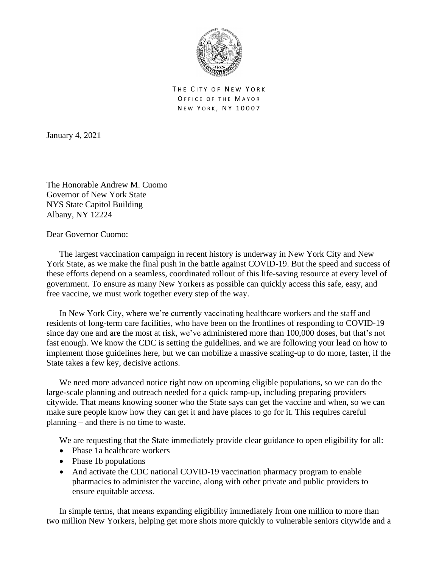

THE CITY OF NEW YORK OFFICE OF THE MAYOR NEW YORK, NY 10007

January 4, 2021

The Honorable Andrew M. Cuomo Governor of New York State NYS State Capitol Building Albany, NY 12224

Dear Governor Cuomo:

The largest vaccination campaign in recent history is underway in New York City and New York State, as we make the final push in the battle against COVID-19. But the speed and success of these efforts depend on a seamless, coordinated rollout of this life-saving resource at every level of government. To ensure as many New Yorkers as possible can quickly access this safe, easy, and free vaccine, we must work together every step of the way.

In New York City, where we're currently vaccinating healthcare workers and the staff and residents of long-term care facilities, who have been on the frontlines of responding to COVID-19 since day one and are the most at risk, we've administered more than 100,000 doses, but that's not fast enough. We know the CDC is setting the guidelines, and we are following your lead on how to implement those guidelines here, but we can mobilize a massive scaling-up to do more, faster, if the State takes a few key, decisive actions.

We need more advanced notice right now on upcoming eligible populations, so we can do the large-scale planning and outreach needed for a quick ramp-up, including preparing providers citywide. That means knowing sooner who the State says can get the vaccine and when, so we can make sure people know how they can get it and have places to go for it. This requires careful planning – and there is no time to waste.

We are requesting that the State immediately provide clear guidance to open eligibility for all:

- Phase 1a healthcare workers
- Phase 1b populations
- And activate the CDC national COVID-19 vaccination pharmacy program to enable pharmacies to administer the vaccine, along with other private and public providers to ensure equitable access.

In simple terms, that means expanding eligibility immediately from one million to more than two million New Yorkers, helping get more shots more quickly to vulnerable seniors citywide and a